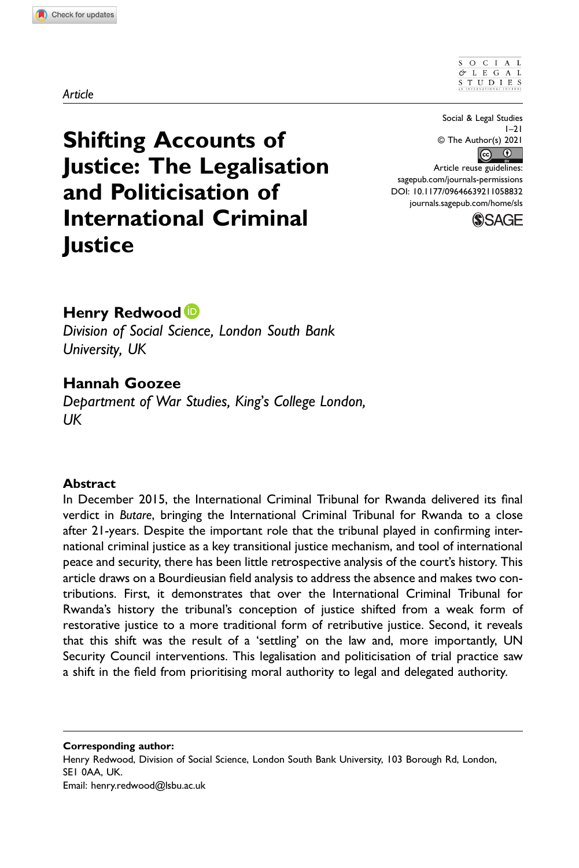SOCIAL  $OL E G A L$ S T U D I E S

Shifting Accounts of Justice: The Legalisation and Politicisation of International Criminal **Justice** 

Social & Legal Studies  $1 - 21$ © The Author(s) 2021  $\boxed{6}$ 

Article reuse guidelines: [sagepub.com/journals-permissions](https://us.sagepub.com/en-us/journals-permissions) DOI: 10.1177/09646639211058832 [journals.sagepub.com/home/sls](https://journals.sagepub.com/home/sls)



# Henry Redwood<sup>D</sup>

Division of Social Science, London South Bank University, UK

# Hannah Goozee

Department of War Studies, King's College London, UK

### **Abstract**

In December 2015, the International Criminal Tribunal for Rwanda delivered its final verdict in Butare, bringing the International Criminal Tribunal for Rwanda to a close after 21-years. Despite the important role that the tribunal played in confirming international criminal justice as a key transitional justice mechanism, and tool of international peace and security, there has been little retrospective analysis of the court's history. This article draws on a Bourdieusian field analysis to address the absence and makes two contributions. First, it demonstrates that over the International Criminal Tribunal for Rwanda's history the tribunal's conception of justice shifted from a weak form of restorative justice to a more traditional form of retributive justice. Second, it reveals that this shift was the result of a 'settling' on the law and, more importantly, UN Security Council interventions. This legalisation and politicisation of trial practice saw a shift in the field from prioritising moral authority to legal and delegated authority.

Corresponding author: Henry Redwood, Division of Social Science, London South Bank University, 103 Borough Rd, London, SE1 0AA, UK. Email: [henry.redwood@lsbu.ac.uk](mailto:henry.redwood@lsbu.ac.uk)

#### Article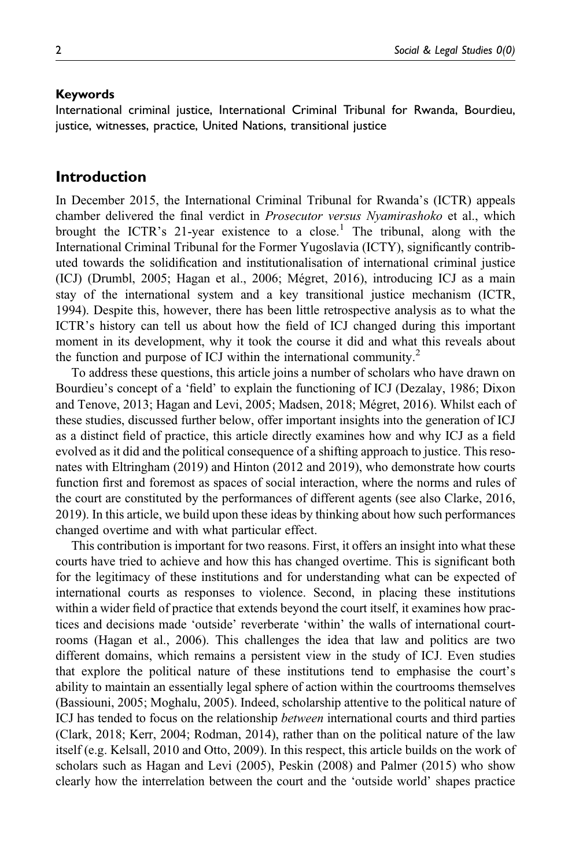#### Keywords

International criminal justice, International Criminal Tribunal for Rwanda, Bourdieu, justice, witnesses, practice, United Nations, transitional justice

## Introduction

In December 2015, the International Criminal Tribunal for Rwanda's (ICTR) appeals chamber delivered the final verdict in *Prosecutor versus Nyamirashoko* et al., which brought the ICTR's 21-year existence to a close.<sup>1</sup> The tribunal, along with the International Criminal Tribunal for the Former Yugoslavia (ICTY), significantly contributed towards the solidification and institutionalisation of international criminal justice (ICJ) (Drumbl, 2005; Hagan et al., 2006; Mégret, 2016), introducing ICJ as a main stay of the international system and a key transitional justice mechanism (ICTR, 1994). Despite this, however, there has been little retrospective analysis as to what the ICTR's history can tell us about how the field of ICJ changed during this important moment in its development, why it took the course it did and what this reveals about the function and purpose of ICJ within the international community.<sup>2</sup>

To address these questions, this article joins a number of scholars who have drawn on Bourdieu's concept of a 'field' to explain the functioning of ICJ (Dezalay, 1986; Dixon and Tenove, 2013; Hagan and Levi, 2005; Madsen, 2018; Mégret, 2016). Whilst each of these studies, discussed further below, offer important insights into the generation of ICJ as a distinct field of practice, this article directly examines how and why ICJ as a field evolved as it did and the political consequence of a shifting approach to justice. This resonates with Eltringham (2019) and Hinton (2012 and 2019), who demonstrate how courts function first and foremost as spaces of social interaction, where the norms and rules of the court are constituted by the performances of different agents (see also Clarke, 2016, 2019). In this article, we build upon these ideas by thinking about how such performances changed overtime and with what particular effect.

This contribution is important for two reasons. First, it offers an insight into what these courts have tried to achieve and how this has changed overtime. This is significant both for the legitimacy of these institutions and for understanding what can be expected of international courts as responses to violence. Second, in placing these institutions within a wider field of practice that extends beyond the court itself, it examines how practices and decisions made 'outside' reverberate 'within' the walls of international courtrooms (Hagan et al., 2006). This challenges the idea that law and politics are two different domains, which remains a persistent view in the study of ICJ. Even studies that explore the political nature of these institutions tend to emphasise the court's ability to maintain an essentially legal sphere of action within the courtrooms themselves (Bassiouni, 2005; Moghalu, 2005). Indeed, scholarship attentive to the political nature of ICJ has tended to focus on the relationship *between* international courts and third parties (Clark, 2018; Kerr, 2004; Rodman, 2014), rather than on the political nature of the law itself (e.g. Kelsall, 2010 and Otto, 2009). In this respect, this article builds on the work of scholars such as Hagan and Levi (2005), Peskin (2008) and Palmer (2015) who show clearly how the interrelation between the court and the 'outside world' shapes practice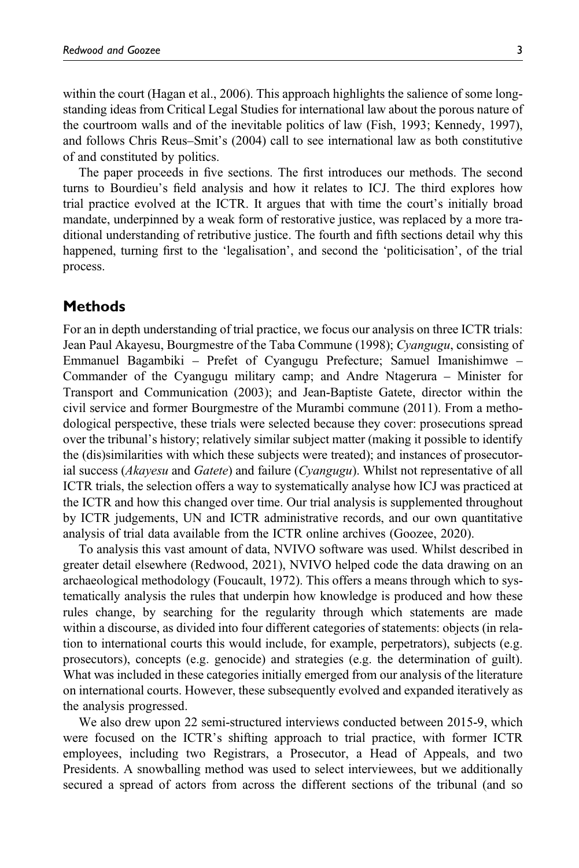within the court (Hagan et al., 2006). This approach highlights the salience of some longstanding ideas from Critical Legal Studies for international law about the porous nature of the courtroom walls and of the inevitable politics of law (Fish, 1993; Kennedy, 1997), and follows Chris Reus–Smit's (2004) call to see international law as both constitutive of and constituted by politics.

The paper proceeds in five sections. The first introduces our methods. The second turns to Bourdieu's field analysis and how it relates to ICJ. The third explores how trial practice evolved at the ICTR. It argues that with time the court's initially broad mandate, underpinned by a weak form of restorative justice, was replaced by a more traditional understanding of retributive justice. The fourth and fifth sections detail why this happened, turning first to the 'legalisation', and second the 'politicisation', of the trial process.

# Methods

For an in depth understanding of trial practice, we focus our analysis on three ICTR trials: Jean Paul Akayesu, Bourgmestre of the Taba Commune (1998); Cyangugu, consisting of Emmanuel Bagambiki – Prefet of Cyangugu Prefecture; Samuel Imanishimwe – Commander of the Cyangugu military camp; and Andre Ntagerura – Minister for Transport and Communication (2003); and Jean-Baptiste Gatete, director within the civil service and former Bourgmestre of the Murambi commune (2011). From a methodological perspective, these trials were selected because they cover: prosecutions spread over the tribunal's history; relatively similar subject matter (making it possible to identify the (dis)similarities with which these subjects were treated); and instances of prosecutorial success (Akayesu and Gatete) and failure (Cyangugu). Whilst not representative of all ICTR trials, the selection offers a way to systematically analyse how ICJ was practiced at the ICTR and how this changed over time. Our trial analysis is supplemented throughout by ICTR judgements, UN and ICTR administrative records, and our own quantitative analysis of trial data available from the ICTR online archives (Goozee, 2020).

To analysis this vast amount of data, NVIVO software was used. Whilst described in greater detail elsewhere (Redwood, 2021), NVIVO helped code the data drawing on an archaeological methodology (Foucault, 1972). This offers a means through which to systematically analysis the rules that underpin how knowledge is produced and how these rules change, by searching for the regularity through which statements are made within a discourse, as divided into four different categories of statements: objects (in relation to international courts this would include, for example, perpetrators), subjects (e.g. prosecutors), concepts (e.g. genocide) and strategies (e.g. the determination of guilt). What was included in these categories initially emerged from our analysis of the literature on international courts. However, these subsequently evolved and expanded iteratively as the analysis progressed.

We also drew upon 22 semi-structured interviews conducted between 2015-9, which were focused on the ICTR's shifting approach to trial practice, with former ICTR employees, including two Registrars, a Prosecutor, a Head of Appeals, and two Presidents. A snowballing method was used to select interviewees, but we additionally secured a spread of actors from across the different sections of the tribunal (and so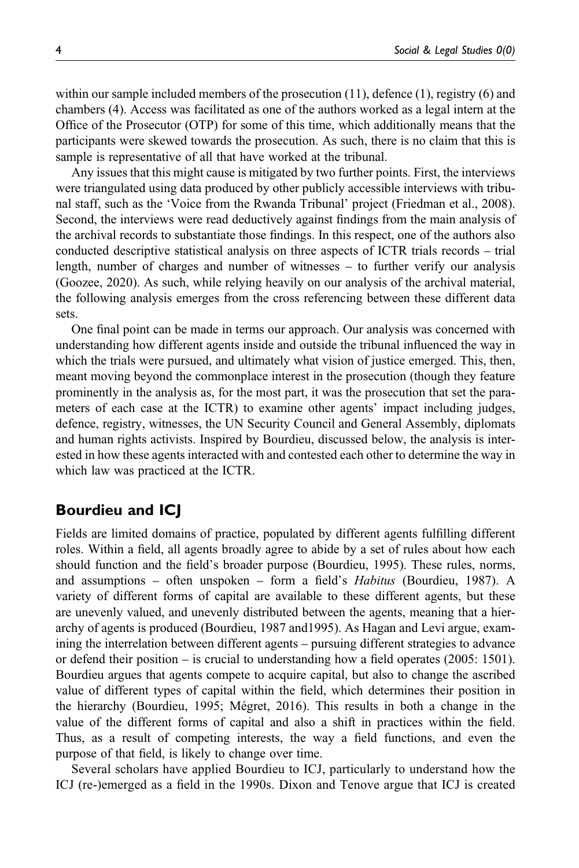within our sample included members of the prosecution  $(11)$ , defence  $(1)$ , registry  $(6)$  and chambers (4). Access was facilitated as one of the authors worked as a legal intern at the Office of the Prosecutor (OTP) for some of this time, which additionally means that the participants were skewed towards the prosecution. As such, there is no claim that this is sample is representative of all that have worked at the tribunal.

Any issues that this might cause is mitigated by two further points. First, the interviews were triangulated using data produced by other publicly accessible interviews with tribunal staff, such as the 'Voice from the Rwanda Tribunal' project (Friedman et al., 2008). Second, the interviews were read deductively against findings from the main analysis of the archival records to substantiate those findings. In this respect, one of the authors also conducted descriptive statistical analysis on three aspects of ICTR trials records – trial length, number of charges and number of witnesses – to further verify our analysis (Goozee, 2020). As such, while relying heavily on our analysis of the archival material, the following analysis emerges from the cross referencing between these different data sets.

One final point can be made in terms our approach. Our analysis was concerned with understanding how different agents inside and outside the tribunal influenced the way in which the trials were pursued, and ultimately what vision of justice emerged. This, then, meant moving beyond the commonplace interest in the prosecution (though they feature prominently in the analysis as, for the most part, it was the prosecution that set the parameters of each case at the ICTR) to examine other agents' impact including judges, defence, registry, witnesses, the UN Security Council and General Assembly, diplomats and human rights activists. Inspired by Bourdieu, discussed below, the analysis is interested in how these agents interacted with and contested each other to determine the way in which law was practiced at the ICTR.

# Bourdieu and ICJ

Fields are limited domains of practice, populated by different agents fulfilling different roles. Within a field, all agents broadly agree to abide by a set of rules about how each should function and the field's broader purpose (Bourdieu, 1995). These rules, norms, and assumptions – often unspoken – form a field's Habitus (Bourdieu, 1987). A variety of different forms of capital are available to these different agents, but these are unevenly valued, and unevenly distributed between the agents, meaning that a hierarchy of agents is produced (Bourdieu, 1987 and1995). As Hagan and Levi argue, examining the interrelation between different agents – pursuing different strategies to advance or defend their position – is crucial to understanding how a field operates (2005: 1501). Bourdieu argues that agents compete to acquire capital, but also to change the ascribed value of different types of capital within the field, which determines their position in the hierarchy (Bourdieu, 1995; Mégret, 2016). This results in both a change in the value of the different forms of capital and also a shift in practices within the field. Thus, as a result of competing interests, the way a field functions, and even the purpose of that field, is likely to change over time.

Several scholars have applied Bourdieu to ICJ, particularly to understand how the ICJ (re-)emerged as a field in the 1990s. Dixon and Tenove argue that ICJ is created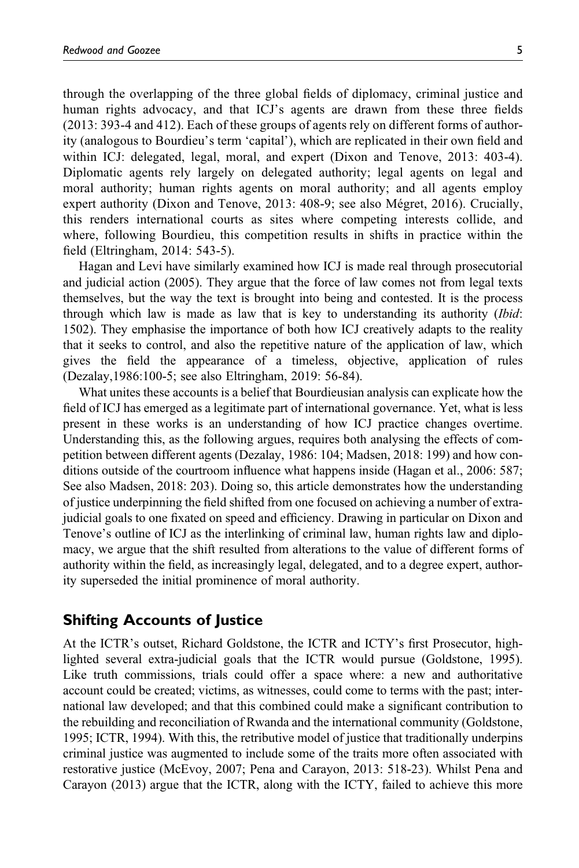through the overlapping of the three global fields of diplomacy, criminal justice and human rights advocacy, and that ICJ's agents are drawn from these three fields (2013: 393-4 and 412). Each of these groups of agents rely on different forms of authority (analogous to Bourdieu's term 'capital'), which are replicated in their own field and within ICJ: delegated, legal, moral, and expert (Dixon and Tenove, 2013: 403-4). Diplomatic agents rely largely on delegated authority; legal agents on legal and moral authority; human rights agents on moral authority; and all agents employ expert authority (Dixon and Tenove, 2013: 408-9; see also Mégret, 2016). Crucially, this renders international courts as sites where competing interests collide, and where, following Bourdieu, this competition results in shifts in practice within the field (Eltringham, 2014: 543-5).

Hagan and Levi have similarly examined how ICJ is made real through prosecutorial and judicial action (2005). They argue that the force of law comes not from legal texts themselves, but the way the text is brought into being and contested. It is the process through which law is made as law that is key to understanding its authority (Ibid: 1502). They emphasise the importance of both how ICJ creatively adapts to the reality that it seeks to control, and also the repetitive nature of the application of law, which gives the field the appearance of a timeless, objective, application of rules (Dezalay,1986:100-5; see also Eltringham, 2019: 56-84).

What unites these accounts is a belief that Bourdieusian analysis can explicate how the field of ICJ has emerged as a legitimate part of international governance. Yet, what is less present in these works is an understanding of how ICJ practice changes overtime. Understanding this, as the following argues, requires both analysing the effects of competition between different agents (Dezalay, 1986: 104; Madsen, 2018: 199) and how conditions outside of the courtroom influence what happens inside (Hagan et al., 2006: 587; See also Madsen, 2018: 203). Doing so, this article demonstrates how the understanding of justice underpinning the field shifted from one focused on achieving a number of extrajudicial goals to one fixated on speed and efficiency. Drawing in particular on Dixon and Tenove's outline of ICJ as the interlinking of criminal law, human rights law and diplomacy, we argue that the shift resulted from alterations to the value of different forms of authority within the field, as increasingly legal, delegated, and to a degree expert, authority superseded the initial prominence of moral authority.

### Shifting Accounts of Justice

At the ICTR's outset, Richard Goldstone, the ICTR and ICTY's first Prosecutor, highlighted several extra-judicial goals that the ICTR would pursue (Goldstone, 1995). Like truth commissions, trials could offer a space where: a new and authoritative account could be created; victims, as witnesses, could come to terms with the past; international law developed; and that this combined could make a significant contribution to the rebuilding and reconciliation of Rwanda and the international community (Goldstone, 1995; ICTR, 1994). With this, the retributive model of justice that traditionally underpins criminal justice was augmented to include some of the traits more often associated with restorative justice (McEvoy, 2007; Pena and Carayon, 2013: 518-23). Whilst Pena and Carayon (2013) argue that the ICTR, along with the ICTY, failed to achieve this more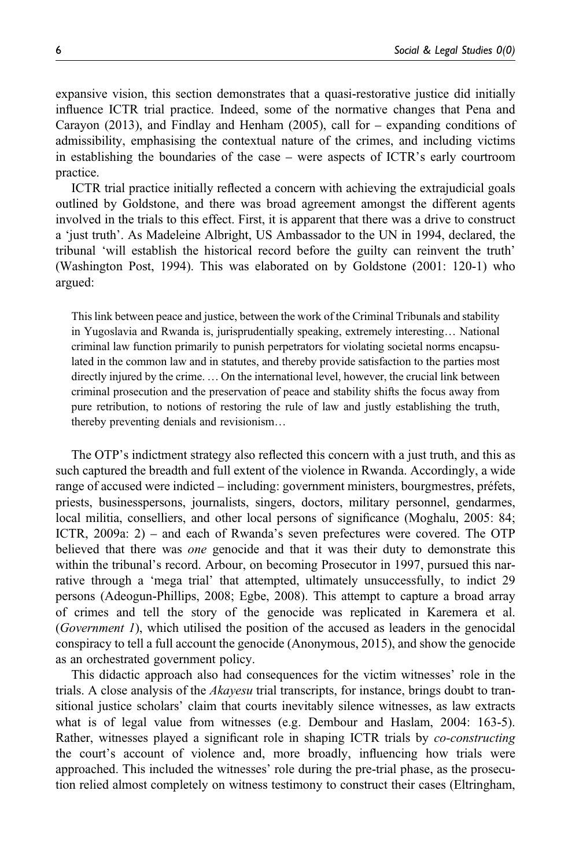expansive vision, this section demonstrates that a quasi-restorative justice did initially influence ICTR trial practice. Indeed, some of the normative changes that Pena and Carayon (2013), and Findlay and Henham (2005), call for – expanding conditions of admissibility, emphasising the contextual nature of the crimes, and including victims in establishing the boundaries of the case – were aspects of ICTR's early courtroom practice.

ICTR trial practice initially reflected a concern with achieving the extrajudicial goals outlined by Goldstone, and there was broad agreement amongst the different agents involved in the trials to this effect. First, it is apparent that there was a drive to construct a 'just truth'. As Madeleine Albright, US Ambassador to the UN in 1994, declared, the tribunal 'will establish the historical record before the guilty can reinvent the truth' (Washington Post, 1994). This was elaborated on by Goldstone (2001: 120-1) who argued:

This link between peace and justice, between the work of the Criminal Tribunals and stability in Yugoslavia and Rwanda is, jurisprudentially speaking, extremely interesting… National criminal law function primarily to punish perpetrators for violating societal norms encapsulated in the common law and in statutes, and thereby provide satisfaction to the parties most directly injured by the crime. …On the international level, however, the crucial link between criminal prosecution and the preservation of peace and stability shifts the focus away from pure retribution, to notions of restoring the rule of law and justly establishing the truth, thereby preventing denials and revisionism…

The OTP's indictment strategy also reflected this concern with a just truth, and this as such captured the breadth and full extent of the violence in Rwanda. Accordingly, a wide range of accused were indicted – including: government ministers, bourgmestres, préfets, priests, businesspersons, journalists, singers, doctors, military personnel, gendarmes, local militia, conselliers, and other local persons of significance (Moghalu, 2005: 84; ICTR, 2009a: 2) – and each of Rwanda's seven prefectures were covered. The OTP believed that there was *one* genocide and that it was their duty to demonstrate this within the tribunal's record. Arbour, on becoming Prosecutor in 1997, pursued this narrative through a 'mega trial' that attempted, ultimately unsuccessfully, to indict 29 persons (Adeogun-Phillips, 2008; Egbe, 2008). This attempt to capture a broad array of crimes and tell the story of the genocide was replicated in Karemera et al. (Government 1), which utilised the position of the accused as leaders in the genocidal conspiracy to tell a full account the genocide (Anonymous, 2015), and show the genocide as an orchestrated government policy.

This didactic approach also had consequences for the victim witnesses' role in the trials. A close analysis of the *Akayesu* trial transcripts, for instance, brings doubt to transitional justice scholars' claim that courts inevitably silence witnesses, as law extracts what is of legal value from witnesses (e.g. Dembour and Haslam, 2004: 163-5). Rather, witnesses played a significant role in shaping ICTR trials by co-constructing the court's account of violence and, more broadly, influencing how trials were approached. This included the witnesses' role during the pre-trial phase, as the prosecution relied almost completely on witness testimony to construct their cases (Eltringham,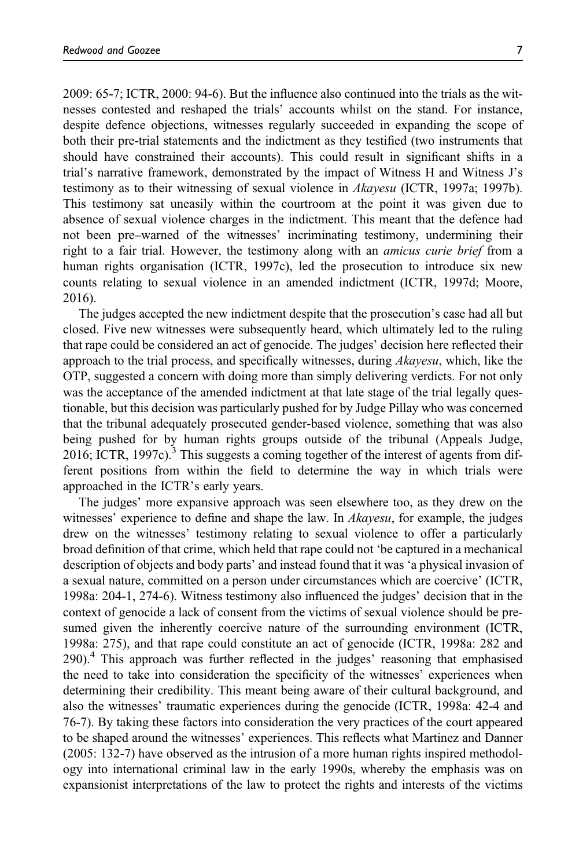2009: 65-7; ICTR, 2000: 94-6). But the influence also continued into the trials as the witnesses contested and reshaped the trials' accounts whilst on the stand. For instance, despite defence objections, witnesses regularly succeeded in expanding the scope of both their pre-trial statements and the indictment as they testified (two instruments that should have constrained their accounts). This could result in significant shifts in a trial's narrative framework, demonstrated by the impact of Witness H and Witness J's testimony as to their witnessing of sexual violence in Akayesu (ICTR, 1997a; 1997b). This testimony sat uneasily within the courtroom at the point it was given due to absence of sexual violence charges in the indictment. This meant that the defence had not been pre–warned of the witnesses' incriminating testimony, undermining their right to a fair trial. However, the testimony along with an amicus curie brief from a human rights organisation (ICTR, 1997c), led the prosecution to introduce six new counts relating to sexual violence in an amended indictment (ICTR, 1997d; Moore, 2016).

The judges accepted the new indictment despite that the prosecution's case had all but closed. Five new witnesses were subsequently heard, which ultimately led to the ruling that rape could be considered an act of genocide. The judges' decision here reflected their approach to the trial process, and specifically witnesses, during *Akayesu*, which, like the OTP, suggested a concern with doing more than simply delivering verdicts. For not only was the acceptance of the amended indictment at that late stage of the trial legally questionable, but this decision was particularly pushed for by Judge Pillay who was concerned that the tribunal adequately prosecuted gender-based violence, something that was also being pushed for by human rights groups outside of the tribunal (Appeals Judge, 2016; ICTR, 1997c).<sup>3</sup> This suggests a coming together of the interest of agents from different positions from within the field to determine the way in which trials were approached in the ICTR's early years.

The judges' more expansive approach was seen elsewhere too, as they drew on the witnesses' experience to define and shape the law. In *Akayesu*, for example, the judges drew on the witnesses' testimony relating to sexual violence to offer a particularly broad definition of that crime, which held that rape could not 'be captured in a mechanical description of objects and body parts' and instead found that it was 'a physical invasion of a sexual nature, committed on a person under circumstances which are coercive' (ICTR, 1998a: 204-1, 274-6). Witness testimony also influenced the judges' decision that in the context of genocide a lack of consent from the victims of sexual violence should be presumed given the inherently coercive nature of the surrounding environment (ICTR, 1998a: 275), and that rape could constitute an act of genocide (ICTR, 1998a: 282 and 290).<sup>4</sup> This approach was further reflected in the judges' reasoning that emphasised the need to take into consideration the specificity of the witnesses' experiences when determining their credibility. This meant being aware of their cultural background, and also the witnesses' traumatic experiences during the genocide (ICTR, 1998a: 42-4 and 76-7). By taking these factors into consideration the very practices of the court appeared to be shaped around the witnesses' experiences. This reflects what Martinez and Danner (2005: 132-7) have observed as the intrusion of a more human rights inspired methodology into international criminal law in the early 1990s, whereby the emphasis was on expansionist interpretations of the law to protect the rights and interests of the victims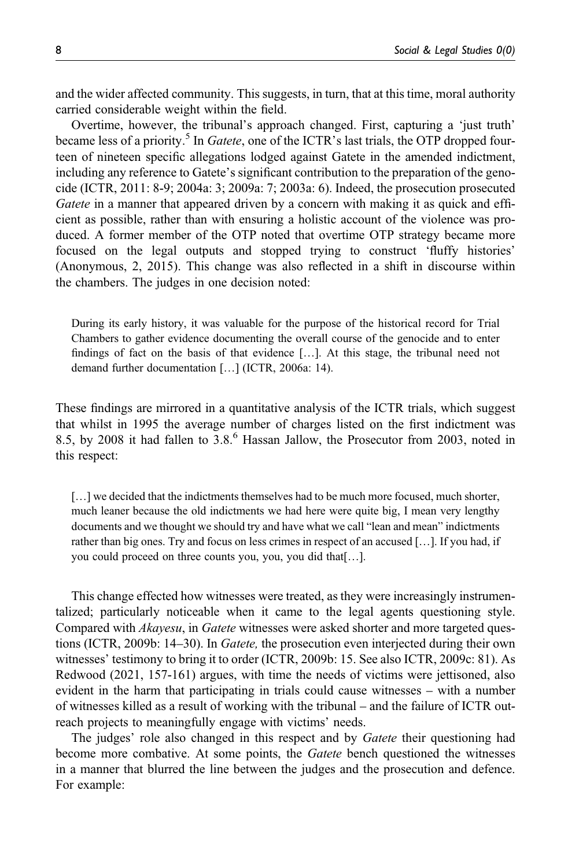and the wider affected community. This suggests, in turn, that at this time, moral authority carried considerable weight within the field.

Overtime, however, the tribunal's approach changed. First, capturing a 'just truth' became less of a priority.<sup>5</sup> In *Gatete*, one of the ICTR's last trials, the OTP dropped fourteen of nineteen specific allegations lodged against Gatete in the amended indictment, including any reference to Gatete's significant contribution to the preparation of the genocide (ICTR, 2011: 8-9; 2004a: 3; 2009a: 7; 2003a: 6). Indeed, the prosecution prosecuted Gatete in a manner that appeared driven by a concern with making it as quick and efficient as possible, rather than with ensuring a holistic account of the violence was produced. A former member of the OTP noted that overtime OTP strategy became more focused on the legal outputs and stopped trying to construct 'fluffy histories' (Anonymous, 2, 2015). This change was also reflected in a shift in discourse within the chambers. The judges in one decision noted:

During its early history, it was valuable for the purpose of the historical record for Trial Chambers to gather evidence documenting the overall course of the genocide and to enter findings of fact on the basis of that evidence […]. At this stage, the tribunal need not demand further documentation […] (ICTR, 2006a: 14).

These findings are mirrored in a quantitative analysis of the ICTR trials, which suggest that whilst in 1995 the average number of charges listed on the first indictment was 8.5, by 2008 it had fallen to 3.8.<sup>6</sup> Hassan Jallow, the Prosecutor from 2003, noted in this respect:

[...] we decided that the indictments themselves had to be much more focused, much shorter, much leaner because the old indictments we had here were quite big, I mean very lengthy documents and we thought we should try and have what we call "lean and mean" indictments rather than big ones. Try and focus on less crimes in respect of an accused […]. If you had, if you could proceed on three counts you, you, you did that[…].

This change effected how witnesses were treated, as they were increasingly instrumentalized; particularly noticeable when it came to the legal agents questioning style. Compared with Akayesu, in Gatete witnesses were asked shorter and more targeted questions (ICTR, 2009b: 14–30). In *Gatete*, the prosecution even interjected during their own witnesses' testimony to bring it to order (ICTR, 2009b: 15. See also ICTR, 2009c: 81). As Redwood (2021, 157-161) argues, with time the needs of victims were jettisoned, also evident in the harm that participating in trials could cause witnesses – with a number of witnesses killed as a result of working with the tribunal – and the failure of ICTR outreach projects to meaningfully engage with victims' needs.

The judges' role also changed in this respect and by *Gatete* their questioning had become more combative. At some points, the *Gatete* bench questioned the witnesses in a manner that blurred the line between the judges and the prosecution and defence. For example: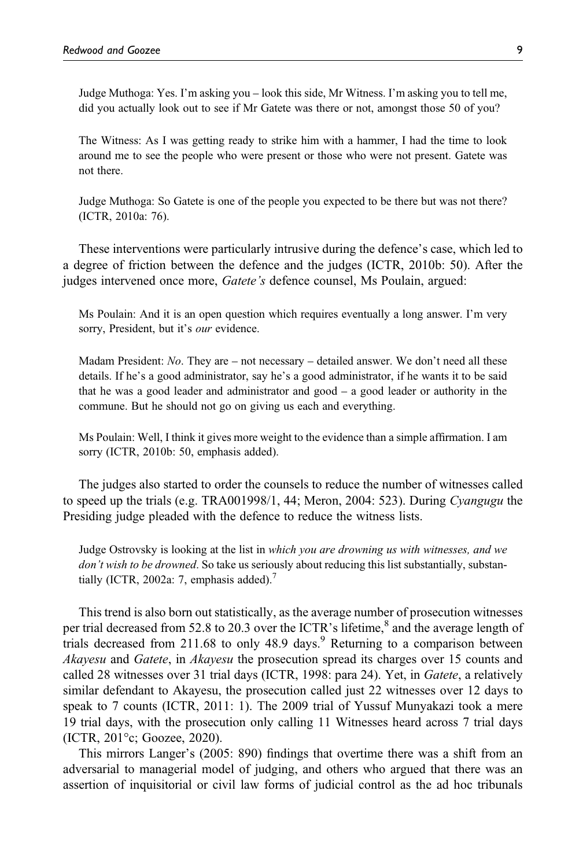Judge Muthoga: Yes. I'm asking you – look this side, Mr Witness. I'm asking you to tell me, did you actually look out to see if Mr Gatete was there or not, amongst those 50 of you?

The Witness: As I was getting ready to strike him with a hammer, I had the time to look around me to see the people who were present or those who were not present. Gatete was not there.

Judge Muthoga: So Gatete is one of the people you expected to be there but was not there? (ICTR, 2010a: 76).

These interventions were particularly intrusive during the defence's case, which led to a degree of friction between the defence and the judges (ICTR, 2010b: 50). After the judges intervened once more, *Gatete's* defence counsel, Ms Poulain, argued:

Ms Poulain: And it is an open question which requires eventually a long answer. I'm very sorry, President, but it's *our* evidence.

Madam President: No. They are – not necessary – detailed answer. We don't need all these details. If he's a good administrator, say he's a good administrator, if he wants it to be said that he was a good leader and administrator and good – a good leader or authority in the commune. But he should not go on giving us each and everything.

Ms Poulain: Well, I think it gives more weight to the evidence than a simple affirmation. I am sorry (ICTR, 2010b: 50, emphasis added).

The judges also started to order the counsels to reduce the number of witnesses called to speed up the trials (e.g.  $TRA001998/1$ , 44; Meron, 2004: 523). During Cyangugu the Presiding judge pleaded with the defence to reduce the witness lists.

Judge Ostrovsky is looking at the list in which you are drowning us with witnesses, and we don't wish to be drowned. So take us seriously about reducing this list substantially, substantially (ICTR, 2002a: 7, emphasis added). $'$ 

This trend is also born out statistically, as the average number of prosecution witnesses per trial decreased from 52.8 to 20.3 over the ICTR's lifetime,<sup>8</sup> and the average length of trials decreased from 211.68 to only 48.9 days.<sup>9</sup> Returning to a comparison between Akayesu and Gatete, in Akayesu the prosecution spread its charges over 15 counts and called 28 witnesses over 31 trial days (ICTR, 1998: para 24). Yet, in Gatete, a relatively similar defendant to Akayesu, the prosecution called just 22 witnesses over 12 days to speak to 7 counts (ICTR, 2011: 1). The 2009 trial of Yussuf Munyakazi took a mere 19 trial days, with the prosecution only calling 11 Witnesses heard across 7 trial days (ICTR, 201°c; Goozee, 2020).

This mirrors Langer's (2005: 890) findings that overtime there was a shift from an adversarial to managerial model of judging, and others who argued that there was an assertion of inquisitorial or civil law forms of judicial control as the ad hoc tribunals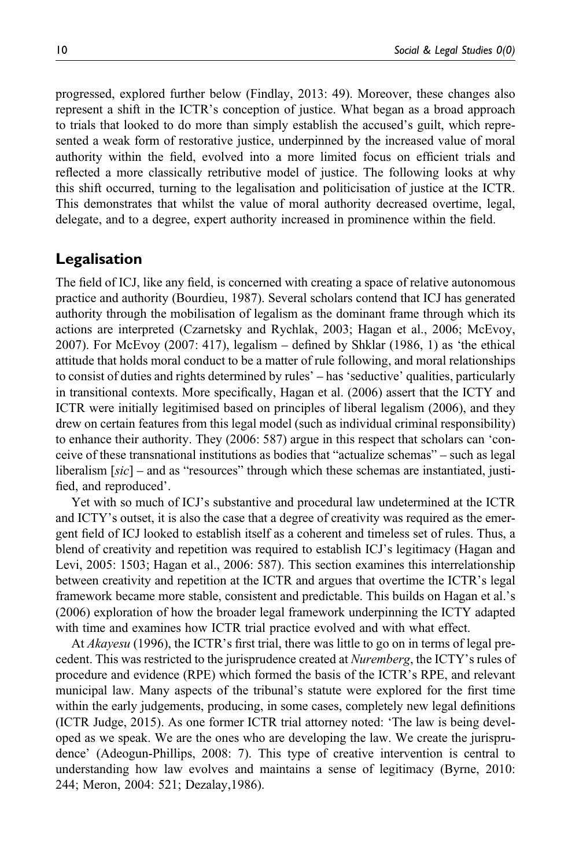progressed, explored further below (Findlay, 2013: 49). Moreover, these changes also represent a shift in the ICTR's conception of justice. What began as a broad approach to trials that looked to do more than simply establish the accused's guilt, which represented a weak form of restorative justice, underpinned by the increased value of moral authority within the field, evolved into a more limited focus on efficient trials and reflected a more classically retributive model of justice. The following looks at why this shift occurred, turning to the legalisation and politicisation of justice at the ICTR. This demonstrates that whilst the value of moral authority decreased overtime, legal, delegate, and to a degree, expert authority increased in prominence within the field.

### Legalisation

The field of ICJ, like any field, is concerned with creating a space of relative autonomous practice and authority (Bourdieu, 1987). Several scholars contend that ICJ has generated authority through the mobilisation of legalism as the dominant frame through which its actions are interpreted (Czarnetsky and Rychlak, 2003; Hagan et al., 2006; McEvoy, 2007). For McEvoy (2007: 417), legalism – defined by Shklar (1986, 1) as 'the ethical attitude that holds moral conduct to be a matter of rule following, and moral relationships to consist of duties and rights determined by rules' – has 'seductive' qualities, particularly in transitional contexts. More specifically, Hagan et al. (2006) assert that the ICTY and ICTR were initially legitimised based on principles of liberal legalism (2006), and they drew on certain features from this legal model (such as individual criminal responsibility) to enhance their authority. They (2006: 587) argue in this respect that scholars can 'conceive of these transnational institutions as bodies that "actualize schemas" – such as legal liberalism  $[sic]$  – and as "resources" through which these schemas are instantiated, justified, and reproduced'.

Yet with so much of ICJ's substantive and procedural law undetermined at the ICTR and ICTY's outset, it is also the case that a degree of creativity was required as the emergent field of ICJ looked to establish itself as a coherent and timeless set of rules. Thus, a blend of creativity and repetition was required to establish ICJ's legitimacy (Hagan and Levi, 2005: 1503; Hagan et al., 2006: 587). This section examines this interrelationship between creativity and repetition at the ICTR and argues that overtime the ICTR's legal framework became more stable, consistent and predictable. This builds on Hagan et al.'s (2006) exploration of how the broader legal framework underpinning the ICTY adapted with time and examines how ICTR trial practice evolved and with what effect.

At *Akayesu* (1996), the ICTR's first trial, there was little to go on in terms of legal precedent. This was restricted to the jurisprudence created at *Nuremberg*, the ICTY's rules of procedure and evidence (RPE) which formed the basis of the ICTR's RPE, and relevant municipal law. Many aspects of the tribunal's statute were explored for the first time within the early judgements, producing, in some cases, completely new legal definitions (ICTR Judge, 2015). As one former ICTR trial attorney noted: 'The law is being developed as we speak. We are the ones who are developing the law. We create the jurisprudence' (Adeogun-Phillips, 2008: 7). This type of creative intervention is central to understanding how law evolves and maintains a sense of legitimacy (Byrne, 2010: 244; Meron, 2004: 521; Dezalay,1986).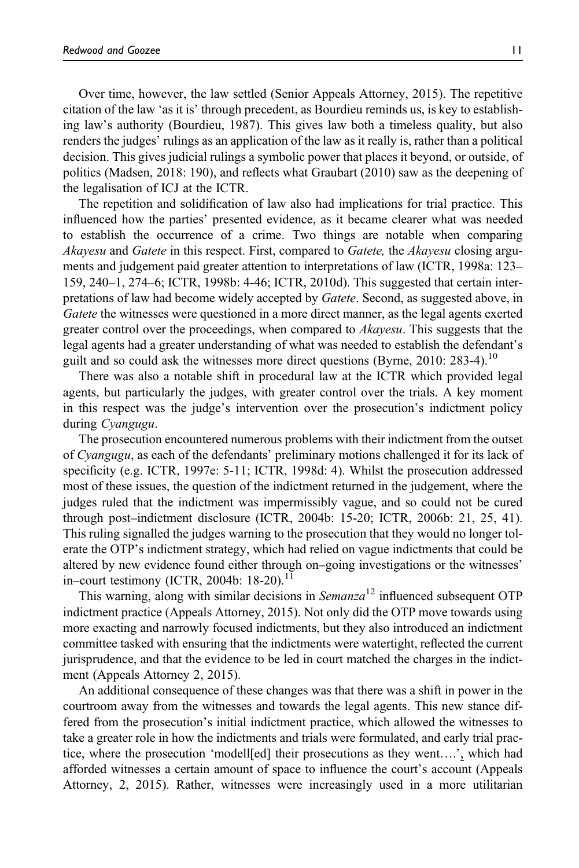Over time, however, the law settled (Senior Appeals Attorney, 2015). The repetitive citation of the law 'as it is' through precedent, as Bourdieu reminds us, is key to establishing law's authority (Bourdieu, 1987). This gives law both a timeless quality, but also renders the judges' rulings as an application of the law as it really is, rather than a political decision. This gives judicial rulings a symbolic power that places it beyond, or outside, of politics (Madsen, 2018: 190), and reflects what Graubart (2010) saw as the deepening of the legalisation of ICJ at the ICTR.

The repetition and solidification of law also had implications for trial practice. This influenced how the parties' presented evidence, as it became clearer what was needed to establish the occurrence of a crime. Two things are notable when comparing Akayesu and Gatete in this respect. First, compared to Gatete, the Akayesu closing arguments and judgement paid greater attention to interpretations of law (ICTR, 1998a: 123– 159, 240–1, 274–6; ICTR, 1998b: 4-46; ICTR, 2010d). This suggested that certain interpretations of law had become widely accepted by Gatete. Second, as suggested above, in Gatete the witnesses were questioned in a more direct manner, as the legal agents exerted greater control over the proceedings, when compared to *Akayesu*. This suggests that the legal agents had a greater understanding of what was needed to establish the defendant's guilt and so could ask the witnesses more direct questions (Byrne, 2010: 283-4).<sup>10</sup>

There was also a notable shift in procedural law at the ICTR which provided legal agents, but particularly the judges, with greater control over the trials. A key moment in this respect was the judge's intervention over the prosecution's indictment policy during Cyangugu.

The prosecution encountered numerous problems with their indictment from the outset of Cyangugu, as each of the defendants' preliminary motions challenged it for its lack of specificity (e.g. ICTR, 1997e: 5-11; ICTR, 1998d: 4). Whilst the prosecution addressed most of these issues, the question of the indictment returned in the judgement, where the judges ruled that the indictment was impermissibly vague, and so could not be cured through post–indictment disclosure (ICTR, 2004b: 15-20; ICTR, 2006b: 21, 25, 41). This ruling signalled the judges warning to the prosecution that they would no longer tolerate the OTP's indictment strategy, which had relied on vague indictments that could be altered by new evidence found either through on–going investigations or the witnesses' in–court testimony (ICTR, 2004b: 18-20).<sup>11</sup>

This warning, along with similar decisions in  $Semanza<sup>12</sup>$  influenced subsequent OTP indictment practice (Appeals Attorney, 2015). Not only did the OTP move towards using more exacting and narrowly focused indictments, but they also introduced an indictment committee tasked with ensuring that the indictments were watertight, reflected the current jurisprudence, and that the evidence to be led in court matched the charges in the indictment (Appeals Attorney 2, 2015).

An additional consequence of these changes was that there was a shift in power in the courtroom away from the witnesses and towards the legal agents. This new stance differed from the prosecution's initial indictment practice, which allowed the witnesses to take a greater role in how the indictments and trials were formulated, and early trial practice, where the prosecution 'modell[ed] their prosecutions as they went….', which had afforded witnesses a certain amount of space to influence the court's account (Appeals Attorney, 2, 2015). Rather, witnesses were increasingly used in a more utilitarian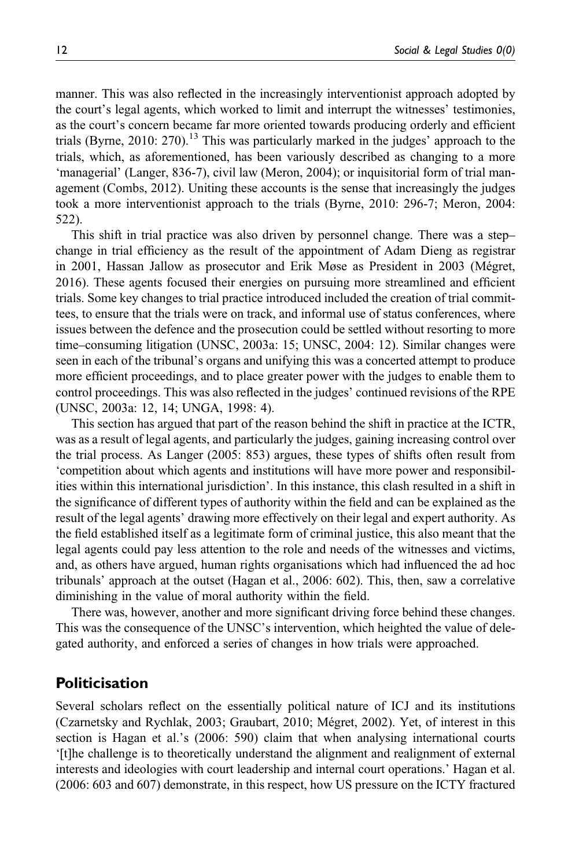manner. This was also reflected in the increasingly interventionist approach adopted by the court's legal agents, which worked to limit and interrupt the witnesses' testimonies, as the court's concern became far more oriented towards producing orderly and efficient trials (Byrne, 2010: 270).<sup>13</sup> This was particularly marked in the judges' approach to the trials, which, as aforementioned, has been variously described as changing to a more 'managerial' (Langer, 836-7), civil law (Meron, 2004); or inquisitorial form of trial management (Combs, 2012). Uniting these accounts is the sense that increasingly the judges took a more interventionist approach to the trials (Byrne, 2010: 296-7; Meron, 2004: 522).

This shift in trial practice was also driven by personnel change. There was a step– change in trial efficiency as the result of the appointment of Adam Dieng as registrar in 2001, Hassan Jallow as prosecutor and Erik Møse as President in 2003 (Mégret, 2016). These agents focused their energies on pursuing more streamlined and efficient trials. Some key changes to trial practice introduced included the creation of trial committees, to ensure that the trials were on track, and informal use of status conferences, where issues between the defence and the prosecution could be settled without resorting to more time–consuming litigation (UNSC, 2003a: 15; UNSC, 2004: 12). Similar changes were seen in each of the tribunal's organs and unifying this was a concerted attempt to produce more efficient proceedings, and to place greater power with the judges to enable them to control proceedings. This was also reflected in the judges' continued revisions of the RPE (UNSC, 2003a: 12, 14; UNGA, 1998: 4).

This section has argued that part of the reason behind the shift in practice at the ICTR, was as a result of legal agents, and particularly the judges, gaining increasing control over the trial process. As Langer (2005: 853) argues, these types of shifts often result from 'competition about which agents and institutions will have more power and responsibilities within this international jurisdiction'. In this instance, this clash resulted in a shift in the significance of different types of authority within the field and can be explained as the result of the legal agents' drawing more effectively on their legal and expert authority. As the field established itself as a legitimate form of criminal justice, this also meant that the legal agents could pay less attention to the role and needs of the witnesses and victims, and, as others have argued, human rights organisations which had influenced the ad hoc tribunals' approach at the outset (Hagan et al., 2006: 602). This, then, saw a correlative diminishing in the value of moral authority within the field.

There was, however, another and more significant driving force behind these changes. This was the consequence of the UNSC's intervention, which heighted the value of delegated authority, and enforced a series of changes in how trials were approached.

# Politicisation

Several scholars reflect on the essentially political nature of ICJ and its institutions (Czarnetsky and Rychlak, 2003; Graubart, 2010; Mégret, 2002). Yet, of interest in this section is Hagan et al.'s (2006: 590) claim that when analysing international courts '[t]he challenge is to theoretically understand the alignment and realignment of external interests and ideologies with court leadership and internal court operations.' Hagan et al. (2006: 603 and 607) demonstrate, in this respect, how US pressure on the ICTY fractured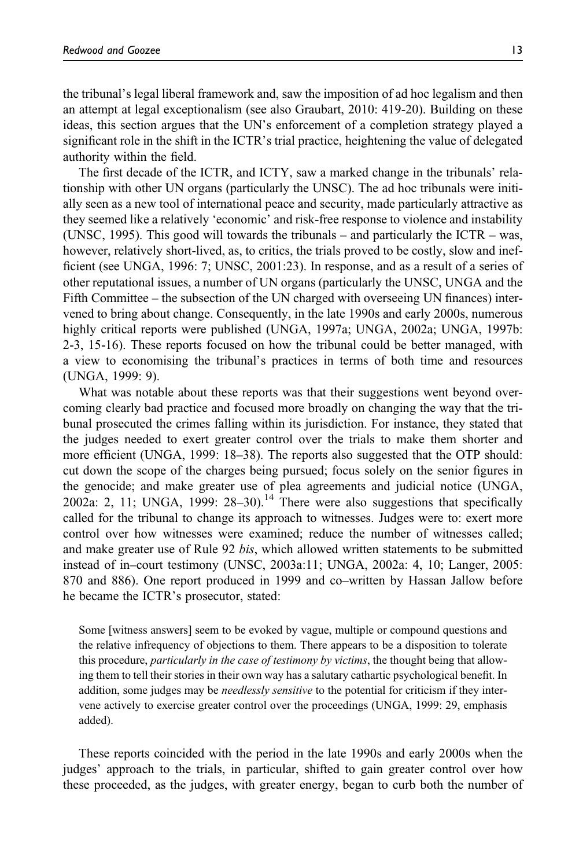the tribunal's legal liberal framework and, saw the imposition of ad hoc legalism and then an attempt at legal exceptionalism (see also Graubart, 2010: 419-20). Building on these ideas, this section argues that the UN's enforcement of a completion strategy played a significant role in the shift in the ICTR's trial practice, heightening the value of delegated authority within the field.

The first decade of the ICTR, and ICTY, saw a marked change in the tribunals' relationship with other UN organs (particularly the UNSC). The ad hoc tribunals were initially seen as a new tool of international peace and security, made particularly attractive as they seemed like a relatively 'economic' and risk-free response to violence and instability (UNSC, 1995). This good will towards the tribunals – and particularly the ICTR – was, however, relatively short-lived, as, to critics, the trials proved to be costly, slow and inefficient (see UNGA, 1996: 7; UNSC, 2001:23). In response, and as a result of a series of other reputational issues, a number of UN organs (particularly the UNSC, UNGA and the Fifth Committee – the subsection of the UN charged with overseeing UN finances) intervened to bring about change. Consequently, in the late 1990s and early 2000s, numerous highly critical reports were published (UNGA, 1997a; UNGA, 2002a; UNGA, 1997b: 2-3, 15-16). These reports focused on how the tribunal could be better managed, with a view to economising the tribunal's practices in terms of both time and resources (UNGA, 1999: 9).

What was notable about these reports was that their suggestions went beyond overcoming clearly bad practice and focused more broadly on changing the way that the tribunal prosecuted the crimes falling within its jurisdiction. For instance, they stated that the judges needed to exert greater control over the trials to make them shorter and more efficient (UNGA, 1999: 18–38). The reports also suggested that the OTP should: cut down the scope of the charges being pursued; focus solely on the senior figures in the genocide; and make greater use of plea agreements and judicial notice (UNGA, 2002a: 2, 11; UNGA, 1999:  $28-30$ .<sup>14</sup> There were also suggestions that specifically called for the tribunal to change its approach to witnesses. Judges were to: exert more control over how witnesses were examined; reduce the number of witnesses called; and make greater use of Rule 92 bis, which allowed written statements to be submitted instead of in–court testimony (UNSC, 2003a:11; UNGA, 2002a: 4, 10; Langer, 2005: 870 and 886). One report produced in 1999 and co–written by Hassan Jallow before he became the ICTR's prosecutor, stated:

Some [witness answers] seem to be evoked by vague, multiple or compound questions and the relative infrequency of objections to them. There appears to be a disposition to tolerate this procedure, *particularly in the case of testimony by victims*, the thought being that allowing them to tell their stories in their own way has a salutary cathartic psychological benefit. In addition, some judges may be *needlessly sensitive* to the potential for criticism if they intervene actively to exercise greater control over the proceedings (UNGA, 1999: 29, emphasis added).

These reports coincided with the period in the late 1990s and early 2000s when the judges' approach to the trials, in particular, shifted to gain greater control over how these proceeded, as the judges, with greater energy, began to curb both the number of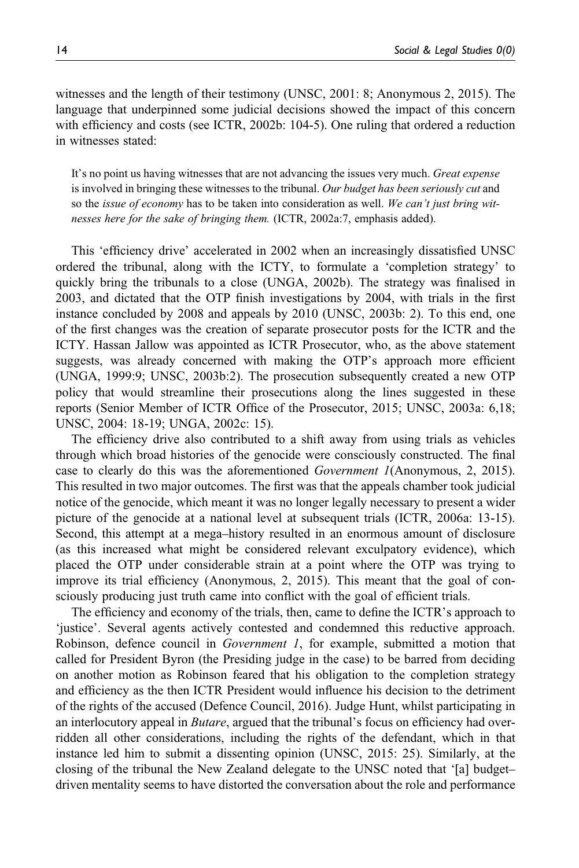witnesses and the length of their testimony (UNSC, 2001: 8; Anonymous 2, 2015). The language that underpinned some judicial decisions showed the impact of this concern with efficiency and costs (see ICTR, 2002b: 104-5). One ruling that ordered a reduction in witnesses stated:

It's no point us having witnesses that are not advancing the issues very much. *Great expense* is involved in bringing these witnesses to the tribunal. Our budget has been seriously cut and so the *issue of economy* has to be taken into consideration as well. We can't just bring witnesses here for the sake of bringing them. (ICTR, 2002a:7, emphasis added).

This 'efficiency drive' accelerated in 2002 when an increasingly dissatisfied UNSC ordered the tribunal, along with the ICTY, to formulate a 'completion strategy' to quickly bring the tribunals to a close (UNGA, 2002b). The strategy was finalised in 2003, and dictated that the OTP finish investigations by 2004, with trials in the first instance concluded by 2008 and appeals by 2010 (UNSC, 2003b: 2). To this end, one of the first changes was the creation of separate prosecutor posts for the ICTR and the ICTY. Hassan Jallow was appointed as ICTR Prosecutor, who, as the above statement suggests, was already concerned with making the OTP's approach more efficient (UNGA, 1999:9; UNSC, 2003b:2). The prosecution subsequently created a new OTP policy that would streamline their prosecutions along the lines suggested in these reports (Senior Member of ICTR Office of the Prosecutor, 2015; UNSC, 2003a: 6,18; UNSC, 2004: 18-19; UNGA, 2002c: 15).

The efficiency drive also contributed to a shift away from using trials as vehicles through which broad histories of the genocide were consciously constructed. The final case to clearly do this was the aforementioned Government 1(Anonymous, 2, 2015). This resulted in two major outcomes. The first was that the appeals chamber took judicial notice of the genocide, which meant it was no longer legally necessary to present a wider picture of the genocide at a national level at subsequent trials (ICTR, 2006a: 13-15). Second, this attempt at a mega–history resulted in an enormous amount of disclosure (as this increased what might be considered relevant exculpatory evidence), which placed the OTP under considerable strain at a point where the OTP was trying to improve its trial efficiency (Anonymous, 2, 2015). This meant that the goal of consciously producing just truth came into conflict with the goal of efficient trials.

The efficiency and economy of the trials, then, came to define the ICTR's approach to 'justice'. Several agents actively contested and condemned this reductive approach. Robinson, defence council in Government 1, for example, submitted a motion that called for President Byron (the Presiding judge in the case) to be barred from deciding on another motion as Robinson feared that his obligation to the completion strategy and efficiency as the then ICTR President would influence his decision to the detriment of the rights of the accused (Defence Council, 2016). Judge Hunt, whilst participating in an interlocutory appeal in *Butare*, argued that the tribunal's focus on efficiency had overridden all other considerations, including the rights of the defendant, which in that instance led him to submit a dissenting opinion (UNSC, 2015: 25). Similarly, at the closing of the tribunal the New Zealand delegate to the UNSC noted that '[a] budget– driven mentality seems to have distorted the conversation about the role and performance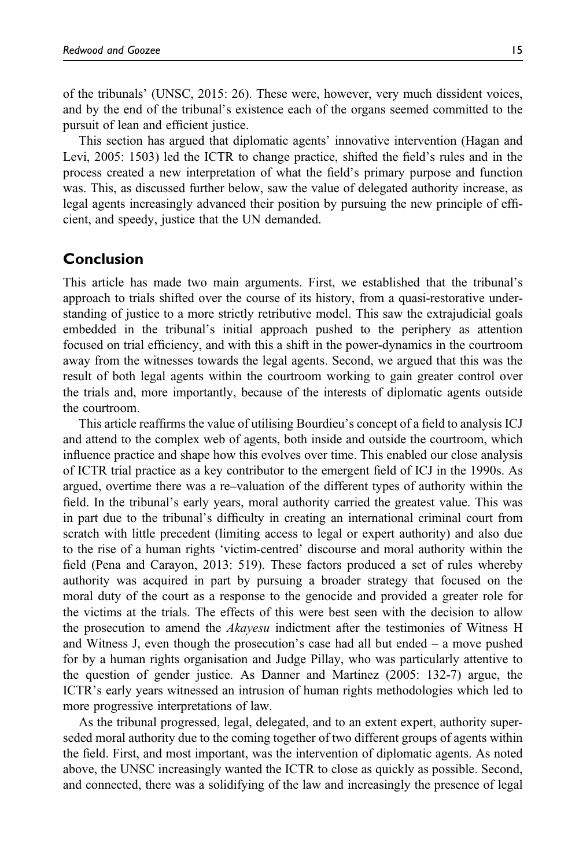of the tribunals' (UNSC, 2015: 26). These were, however, very much dissident voices, and by the end of the tribunal's existence each of the organs seemed committed to the pursuit of lean and efficient justice.

This section has argued that diplomatic agents' innovative intervention (Hagan and Levi, 2005: 1503) led the ICTR to change practice, shifted the field's rules and in the process created a new interpretation of what the field's primary purpose and function was. This, as discussed further below, saw the value of delegated authority increase, as legal agents increasingly advanced their position by pursuing the new principle of efficient, and speedy, justice that the UN demanded.

### Conclusion

This article has made two main arguments. First, we established that the tribunal's approach to trials shifted over the course of its history, from a quasi-restorative understanding of justice to a more strictly retributive model. This saw the extrajudicial goals embedded in the tribunal's initial approach pushed to the periphery as attention focused on trial efficiency, and with this a shift in the power-dynamics in the courtroom away from the witnesses towards the legal agents. Second, we argued that this was the result of both legal agents within the courtroom working to gain greater control over the trials and, more importantly, because of the interests of diplomatic agents outside the courtroom.

This article reaffirms the value of utilising Bourdieu's concept of a field to analysis ICJ and attend to the complex web of agents, both inside and outside the courtroom, which influence practice and shape how this evolves over time. This enabled our close analysis of ICTR trial practice as a key contributor to the emergent field of ICJ in the 1990s. As argued, overtime there was a re–valuation of the different types of authority within the field. In the tribunal's early years, moral authority carried the greatest value. This was in part due to the tribunal's difficulty in creating an international criminal court from scratch with little precedent (limiting access to legal or expert authority) and also due to the rise of a human rights 'victim-centred' discourse and moral authority within the field (Pena and Carayon, 2013: 519). These factors produced a set of rules whereby authority was acquired in part by pursuing a broader strategy that focused on the moral duty of the court as a response to the genocide and provided a greater role for the victims at the trials. The effects of this were best seen with the decision to allow the prosecution to amend the Akayesu indictment after the testimonies of Witness H and Witness J, even though the prosecution's case had all but ended – a move pushed for by a human rights organisation and Judge Pillay, who was particularly attentive to the question of gender justice. As Danner and Martinez (2005: 132-7) argue, the ICTR's early years witnessed an intrusion of human rights methodologies which led to more progressive interpretations of law.

As the tribunal progressed, legal, delegated, and to an extent expert, authority superseded moral authority due to the coming together of two different groups of agents within the field. First, and most important, was the intervention of diplomatic agents. As noted above, the UNSC increasingly wanted the ICTR to close as quickly as possible. Second, and connected, there was a solidifying of the law and increasingly the presence of legal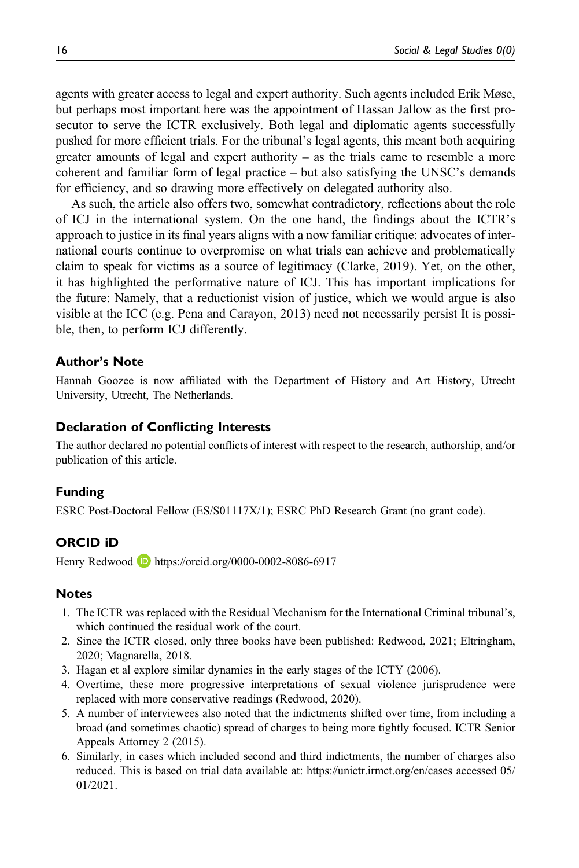agents with greater access to legal and expert authority. Such agents included Erik Møse, but perhaps most important here was the appointment of Hassan Jallow as the first prosecutor to serve the ICTR exclusively. Both legal and diplomatic agents successfully pushed for more efficient trials. For the tribunal's legal agents, this meant both acquiring greater amounts of legal and expert authority – as the trials came to resemble a more coherent and familiar form of legal practice – but also satisfying the UNSC's demands for efficiency, and so drawing more effectively on delegated authority also.

As such, the article also offers two, somewhat contradictory, reflections about the role of ICJ in the international system. On the one hand, the findings about the ICTR's approach to justice in its final years aligns with a now familiar critique: advocates of international courts continue to overpromise on what trials can achieve and problematically claim to speak for victims as a source of legitimacy (Clarke, 2019). Yet, on the other, it has highlighted the performative nature of ICJ. This has important implications for the future: Namely, that a reductionist vision of justice, which we would argue is also visible at the ICC (e.g. Pena and Carayon, 2013) need not necessarily persist It is possible, then, to perform ICJ differently.

### Author's Note

Hannah Goozee is now affiliated with the Department of History and Art History, Utrecht University, Utrecht, The Netherlands.

#### Declaration of Conflicting Interests

The author declared no potential conflicts of interest with respect to the research, authorship, and/or publication of this article.

#### Funding

ESRC Post-Doctoral Fellow (ES/S01117X/1); ESRC PhD Research Grant (no grant code).

# ORCID iD

Henry Redwood **b** <https://orcid.org/0000-0002-8086-6917>

#### **Notes**

- 1. The ICTR was replaced with the Residual Mechanism for the International Criminal tribunal's, which continued the residual work of the court.
- 2. Since the ICTR closed, only three books have been published: Redwood, 2021; Eltringham, 2020; Magnarella, 2018.
- 3. Hagan et al explore similar dynamics in the early stages of the ICTY (2006).
- 4. Overtime, these more progressive interpretations of sexual violence jurisprudence were replaced with more conservative readings (Redwood, 2020).
- 5. A number of interviewees also noted that the indictments shifted over time, from including a broad (and sometimes chaotic) spread of charges to being more tightly focused. ICTR Senior Appeals Attorney 2 (2015).
- 6. Similarly, in cases which included second and third indictments, the number of charges also reduced. This is based on trial data available at:<https://unictr.irmct.org/en/cases> accessed 05/ 01/2021.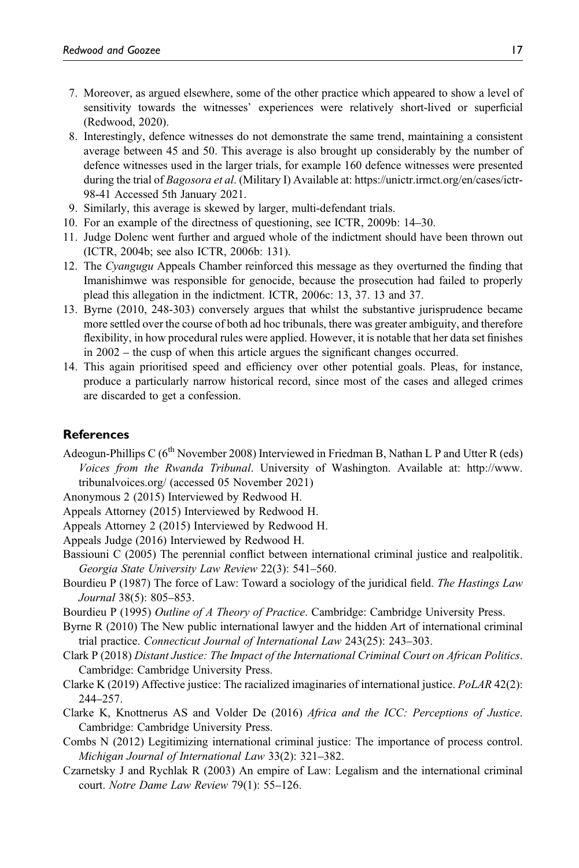- 7. Moreover, as argued elsewhere, some of the other practice which appeared to show a level of sensitivity towards the witnesses' experiences were relatively short-lived or superficial (Redwood, 2020).
- 8. Interestingly, defence witnesses do not demonstrate the same trend, maintaining a consistent average between 45 and 50. This average is also brought up considerably by the number of defence witnesses used in the larger trials, for example 160 defence witnesses were presented during the trial of Bagosora et al. (Military I) Available at: [https://unictr.irmct.org/en/cases/ictr-](https://unictr.irmct.org/en/cases/ictr-98-41)[98-41](https://unictr.irmct.org/en/cases/ictr-98-41) Accessed 5th January 2021.
- 9. Similarly, this average is skewed by larger, multi-defendant trials.
- 10. For an example of the directness of questioning, see ICTR, 2009b: 14–30.
- 11. Judge Dolenc went further and argued whole of the indictment should have been thrown out (ICTR, 2004b; see also ICTR, 2006b: 131).
- 12. The Cyangugu Appeals Chamber reinforced this message as they overturned the finding that Imanishimwe was responsible for genocide, because the prosecution had failed to properly plead this allegation in the indictment. ICTR, 2006c: 13, 37. 13 and 37.
- 13. Byrne (2010, 248-303) conversely argues that whilst the substantive jurisprudence became more settled over the course of both ad hoc tribunals, there was greater ambiguity, and therefore flexibility, in how procedural rules were applied. However, it is notable that her data set finishes in 2002 – the cusp of when this article argues the significant changes occurred.
- 14. This again prioritised speed and efficiency over other potential goals. Pleas, for instance, produce a particularly narrow historical record, since most of the cases and alleged crimes are discarded to get a confession.

### **References**

Adeogun-Phillips C  $(6^{th}$  November 2008) Interviewed in Friedman B, Nathan L P and Utter R (eds) Voices from the Rwanda Tribunal. University of Washington. Available at: [http://www.](http://www.tribunalvoices.org/) [tribunalvoices.org/](http://www.tribunalvoices.org/) (accessed 05 November 2021)

Anonymous 2 (2015) Interviewed by Redwood H.

- Appeals Attorney (2015) Interviewed by Redwood H.
- Appeals Attorney 2 (2015) Interviewed by Redwood H.

Appeals Judge (2016) Interviewed by Redwood H.

- Bassiouni C (2005) The perennial conflict between international criminal justice and realpolitik. Georgia State University Law Review 22(3): 541–560.
- Bourdieu P (1987) The force of Law: Toward a sociology of the juridical field. The Hastings Law Journal 38(5): 805–853.
- Bourdieu P (1995) Outline of A Theory of Practice. Cambridge: Cambridge University Press.
- Byrne R (2010) The New public international lawyer and the hidden Art of international criminal trial practice. Connecticut Journal of International Law 243(25): 243–303.
- Clark P (2018) Distant Justice: The Impact of the International Criminal Court on African Politics. Cambridge: Cambridge University Press.
- Clarke K (2019) Affective justice: The racialized imaginaries of international justice. PoLAR 42(2): 244–257.
- Clarke K, Knottnerus AS and Volder De (2016) Africa and the ICC: Perceptions of Justice. Cambridge: Cambridge University Press.
- Combs N (2012) Legitimizing international criminal justice: The importance of process control. Michigan Journal of International Law 33(2): 321–382.
- Czarnetsky J and Rychlak R (2003) An empire of Law: Legalism and the international criminal court. Notre Dame Law Review 79(1): 55–126.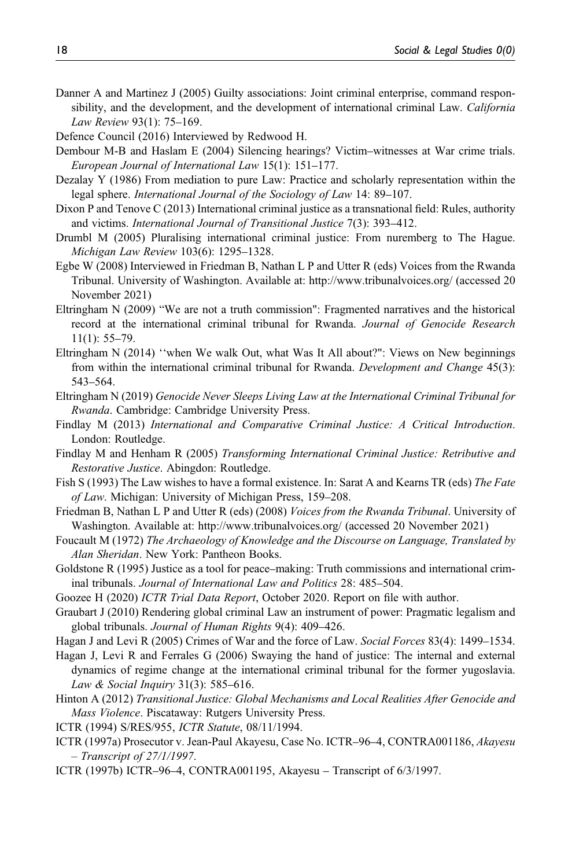- Danner A and Martinez J (2005) Guilty associations: Joint criminal enterprise, command responsibility, and the development, and the development of international criminal Law. California Law Review 93(1): 75–169.
- Defence Council (2016) Interviewed by Redwood H.
- Dembour M-B and Haslam E (2004) Silencing hearings? Victim–witnesses at War crime trials. European Journal of International Law 15(1): 151–177.
- Dezalay Y (1986) From mediation to pure Law: Practice and scholarly representation within the legal sphere. International Journal of the Sociology of Law 14: 89-107.
- Dixon P and Tenove C (2013) International criminal justice as a transnational field: Rules, authority and victims. International Journal of Transitional Justice 7(3): 393–412.
- Drumbl M (2005) Pluralising international criminal justice: From nuremberg to The Hague. Michigan Law Review 103(6): 1295–1328.
- Egbe W (2008) Interviewed in Friedman B, Nathan L P and Utter R (eds) Voices from the Rwanda Tribunal. University of Washington. Available at:<http://www.tribunalvoices.org/> (accessed 20 November 2021)
- Eltringham N (2009) "We are not a truth commission": Fragmented narratives and the historical record at the international criminal tribunal for Rwanda. Journal of Genocide Research 11(1): 55–79.
- Eltringham N (2014) ''when We walk Out, what Was It All about?": Views on New beginnings from within the international criminal tribunal for Rwanda. Development and Change 45(3): 543–564.
- Eltringham N (2019) Genocide Never Sleeps Living Law at the International Criminal Tribunal for Rwanda. Cambridge: Cambridge University Press.
- Findlay M (2013) International and Comparative Criminal Justice: A Critical Introduction. London: Routledge.
- Findlay M and Henham R (2005) Transforming International Criminal Justice: Retributive and Restorative Justice. Abingdon: Routledge.
- Fish S (1993) The Law wishes to have a formal existence. In: Sarat A and Kearns TR (eds) The Fate of Law. Michigan: University of Michigan Press, 159–208.
- Friedman B, Nathan L P and Utter R (eds) (2008) Voices from the Rwanda Tribunal. University of Washington. Available at:<http://www.tribunalvoices.org/> (accessed 20 November 2021)
- Foucault M (1972) The Archaeology of Knowledge and the Discourse on Language, Translated by Alan Sheridan. New York: Pantheon Books.
- Goldstone R (1995) Justice as a tool for peace–making: Truth commissions and international criminal tribunals. Journal of International Law and Politics 28: 485–504.
- Goozee H (2020) ICTR Trial Data Report, October 2020. Report on file with author.
- Graubart J (2010) Rendering global criminal Law an instrument of power: Pragmatic legalism and global tribunals. Journal of Human Rights 9(4): 409–426.
- Hagan J and Levi R (2005) Crimes of War and the force of Law. Social Forces 83(4): 1499–1534.
- Hagan J, Levi R and Ferrales G (2006) Swaying the hand of justice: The internal and external dynamics of regime change at the international criminal tribunal for the former yugoslavia. Law & Social Inquiry 31(3): 585–616.
- Hinton A (2012) Transitional Justice: Global Mechanisms and Local Realities After Genocide and Mass Violence. Piscataway: Rutgers University Press.
- ICTR (1994) S/RES/955, ICTR Statute, 08/11/1994.
- ICTR (1997a) Prosecutor v. Jean-Paul Akayesu, Case No. ICTR–96–4, CONTRA001186, Akayesu – Transcript of 27/1/1997.
- ICTR (1997b) ICTR–96–4, CONTRA001195, Akayesu Transcript of 6/3/1997.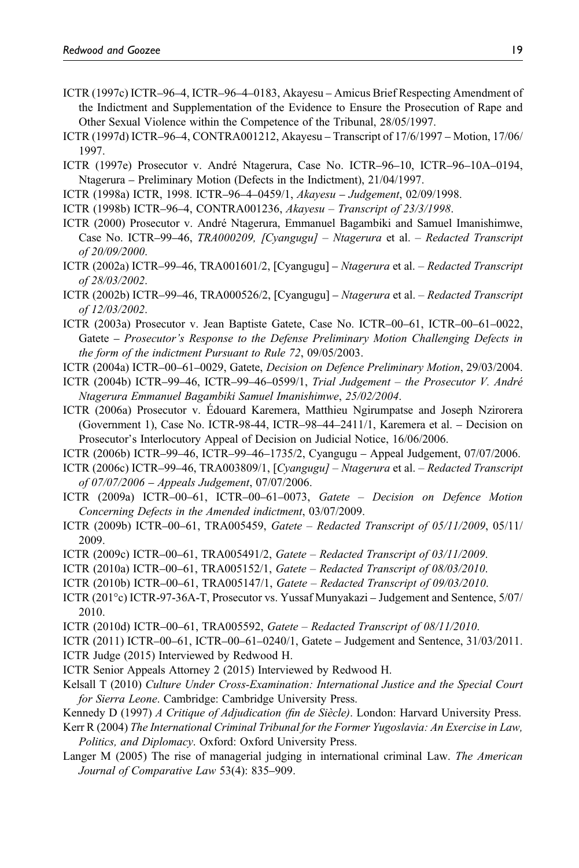- ICTR (1997c) ICTR–96–4, ICTR–96–4–0183, Akayesu Amicus Brief Respecting Amendment of the Indictment and Supplementation of the Evidence to Ensure the Prosecution of Rape and Other Sexual Violence within the Competence of the Tribunal, 28/05/1997.
- ICTR (1997d) ICTR–96–4, CONTRA001212, Akayesu Transcript of 17/6/1997 Motion, 17/06/ 1997.
- ICTR (1997e) Prosecutor v. André Ntagerura, Case No. ICTR–96–10, ICTR–96–10A–0194, Ntagerura – Preliminary Motion (Defects in the Indictment), 21/04/1997.
- ICTR (1998a) ICTR, 1998. ICTR–96–4–0459/1, Akayesu Judgement, 02/09/1998.
- ICTR (1998b) ICTR–96–4, CONTRA001236, Akayesu Transcript of 23/3/1998.
- ICTR (2000) Prosecutor v. André Ntagerura, Emmanuel Bagambiki and Samuel Imanishimwe, Case No. ICTR–99–46, TRA000209, [Cyangugu] – Ntagerura et al. – Redacted Transcript of 20/09/2000.
- ICTR (2002a) ICTR–99–46, TRA001601/2, [Cyangugu] Ntagerura et al. Redacted Transcript of 28/03/2002.
- ICTR (2002b) ICTR–99–46, TRA000526/2, [Cyangugu] Ntagerura et al. Redacted Transcript of 12/03/2002.
- ICTR (2003a) Prosecutor v. Jean Baptiste Gatete, Case No. ICTR–00–61, ICTR–00–61–0022, Gatete – Prosecutor's Response to the Defense Preliminary Motion Challenging Defects in the form of the indictment Pursuant to Rule 72, 09/05/2003.
- ICTR (2004a) ICTR–00–61–0029, Gatete, Decision on Defence Preliminary Motion, 29/03/2004.
- ICTR (2004b) ICTR–99–46, ICTR–99–46–0599/1, Trial Judgement the Prosecutor V. André Ntagerura Emmanuel Bagambiki Samuel Imanishimwe, 25/02/2004.
- ICTR (2006a) Prosecutor v. Édouard Karemera, Matthieu Ngirumpatse and Joseph Nzirorera (Government 1), Case No. ICTR-98-44, ICTR–98–44–2411/1, Karemera et al. – Decision on Prosecutor's Interlocutory Appeal of Decision on Judicial Notice, 16/06/2006.
- ICTR (2006b) ICTR–99–46, ICTR–99–46–1735/2, Cyangugu Appeal Judgement, 07/07/2006.
- ICTR (2006c) ICTR–99–46, TRA003809/1, [Cyangugu] Ntagerura et al. Redacted Transcript of 07/07/2006 – Appeals Judgement, 07/07/2006.
- ICTR (2009a) ICTR–00–61, ICTR–00–61–0073, Gatete Decision on Defence Motion Concerning Defects in the Amended indictment, 03/07/2009.
- ICTR (2009b) ICTR–00–61, TRA005459, Gatete Redacted Transcript of 05/11/2009, 05/11/ 2009.
- ICTR (2009c) ICTR–00–61, TRA005491/2, Gatete Redacted Transcript of 03/11/2009.
- ICTR (2010a) ICTR–00–61, TRA005152/1, Gatete Redacted Transcript of 08/03/2010.
- ICTR (2010b) ICTR–00–61, TRA005147/1, Gatete Redacted Transcript of 09/03/2010.
- ICTR (201°c) ICTR-97-36A-T, Prosecutor vs. Yussaf Munyakazi Judgement and Sentence, 5/07/ 2010.
- ICTR (2010d) ICTR–00–61, TRA005592, Gatete Redacted Transcript of 08/11/2010.
- ICTR (2011) ICTR–00–61, ICTR–00–61–0240/1, Gatete Judgement and Sentence, 31/03/2011.
- ICTR Judge (2015) Interviewed by Redwood H.
- ICTR Senior Appeals Attorney 2 (2015) Interviewed by Redwood H.
- Kelsall T (2010) Culture Under Cross-Examination: International Justice and the Special Court for Sierra Leone. Cambridge: Cambridge University Press.
- Kennedy D (1997) A Critique of Adjudication (fin de Siècle). London: Harvard University Press.
- Kerr R (2004) The International Criminal Tribunal for the Former Yugoslavia: An Exercise in Law, Politics, and Diplomacy. Oxford: Oxford University Press.
- Langer M (2005) The rise of managerial judging in international criminal Law. The American Journal of Comparative Law 53(4): 835–909.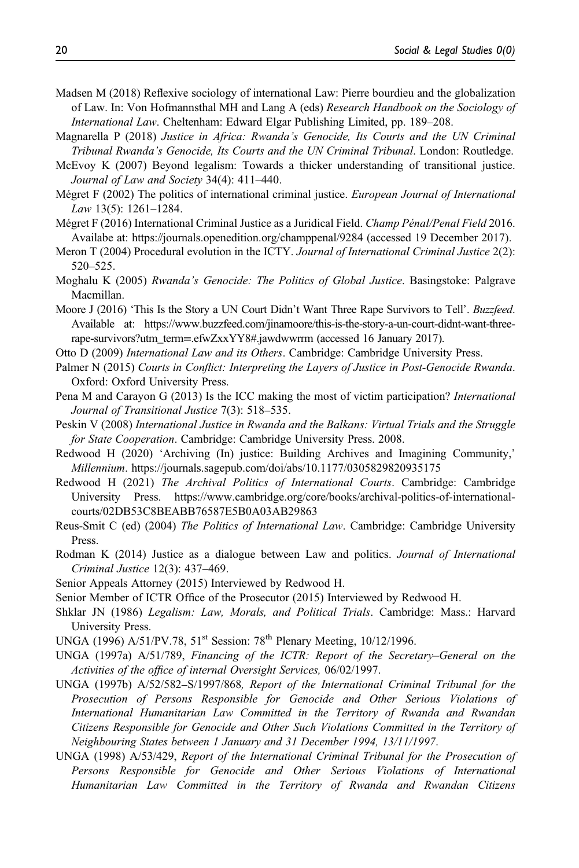- Madsen M (2018) Reflexive sociology of international Law: Pierre bourdieu and the globalization of Law. In: Von Hofmannsthal MH and Lang A (eds) Research Handbook on the Sociology of International Law. Cheltenham: Edward Elgar Publishing Limited, pp. 189–208.
- Magnarella P (2018) Justice in Africa: Rwanda's Genocide, Its Courts and the UN Criminal Tribunal Rwanda's Genocide, Its Courts and the UN Criminal Tribunal. London: Routledge.
- McEvoy K (2007) Beyond legalism: Towards a thicker understanding of transitional justice. Journal of Law and Society 34(4): 411–440.
- Mégret F (2002) The politics of international criminal justice. European Journal of International Law 13(5): 1261–1284.
- Mégret F (2016) International Criminal Justice as a Juridical Field. Champ Pénal/Penal Field 2016. Availabe at: https://journals.openedition.org/champpenal/9284 (accessed 19 December 2017).
- Meron T (2004) Procedural evolution in the ICTY. Journal of International Criminal Justice 2(2): 520–525.
- Moghalu K (2005) Rwanda's Genocide: The Politics of Global Justice. Basingstoke: Palgrave Macmillan.
- Moore J (2016) 'This Is the Story a UN Court Didn't Want Three Rape Survivors to Tell'. Buzzfeed. Available at: https://www.buzzfeed.com/jinamoore/this-is-the-story-a-un-court-didnt-want-threerape-survivors?utm\_term=.efwZxxYY8#.jawdwwrrm (accessed 16 January 2017).
- Otto D (2009) International Law and its Others. Cambridge: Cambridge University Press.
- Palmer N (2015) Courts in Conflict: Interpreting the Layers of Justice in Post-Genocide Rwanda. Oxford: Oxford University Press.
- Pena M and Carayon G (2013) Is the ICC making the most of victim participation? International Journal of Transitional Justice 7(3): 518–535.
- Peskin V (2008) International Justice in Rwanda and the Balkans: Virtual Trials and the Struggle for State Cooperation. Cambridge: Cambridge University Press. 2008.
- Redwood H (2020) 'Archiving (In) justice: Building Archives and Imagining Community,' Millennium.<https://journals.sagepub.com/doi/abs/10.1177/0305829820935175>
- Redwood H (2021) The Archival Politics of International Courts. Cambridge: Cambridge University Press. [https://www.cambridge.org/core/books/archival-politics-of-international](https://www.cambridge.org/core/books/archival-politics-of-international-courts/02DB53C8BEABB76587E5B0A03AB29863)[courts/02DB53C8BEABB76587E5B0A03AB29863](https://www.cambridge.org/core/books/archival-politics-of-international-courts/02DB53C8BEABB76587E5B0A03AB29863)
- Reus-Smit C (ed) (2004) The Politics of International Law. Cambridge: Cambridge University Press.
- Rodman K (2014) Justice as a dialogue between Law and politics. *Journal of International* Criminal Justice 12(3): 437–469.
- Senior Appeals Attorney (2015) Interviewed by Redwood H.
- Senior Member of ICTR Office of the Prosecutor (2015) Interviewed by Redwood H.
- Shklar JN (1986) Legalism: Law, Morals, and Political Trials. Cambridge: Mass.: Harvard University Press.
- UNGA (1996) A/51/PV.78, 51<sup>st</sup> Session: 78<sup>th</sup> Plenary Meeting, 10/12/1996.
- UNGA (1997a) A/51/789, Financing of the ICTR: Report of the Secretary–General on the Activities of the office of internal Oversight Services, 06/02/1997.
- UNGA (1997b) A/52/582–S/1997/868, Report of the International Criminal Tribunal for the Prosecution of Persons Responsible for Genocide and Other Serious Violations of International Humanitarian Law Committed in the Territory of Rwanda and Rwandan Citizens Responsible for Genocide and Other Such Violations Committed in the Territory of Neighbouring States between 1 January and 31 December 1994, 13/11/1997.
- UNGA (1998) A/53/429, Report of the International Criminal Tribunal for the Prosecution of Persons Responsible for Genocide and Other Serious Violations of International Humanitarian Law Committed in the Territory of Rwanda and Rwandan Citizens